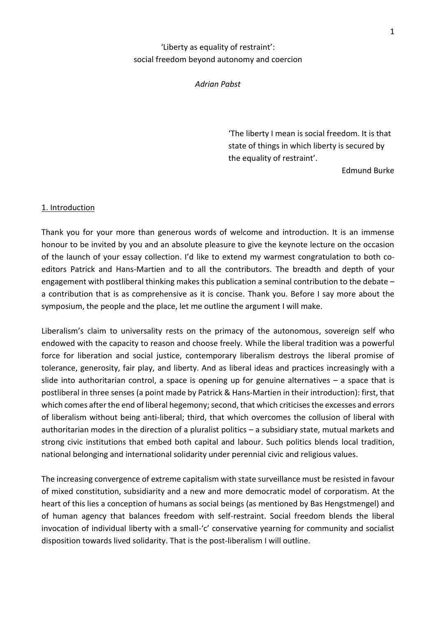# 'Liberty as equality of restraint': social freedom beyond autonomy and coercion

#### *Adrian Pabst*

'The liberty I mean is social freedom. It is that state of things in which liberty is secured by the equality of restraint'.

Edmund Burke

#### 1. Introduction

Thank you for your more than generous words of welcome and introduction. It is an immense honour to be invited by you and an absolute pleasure to give the keynote lecture on the occasion of the launch of your essay collection. I'd like to extend my warmest congratulation to both coeditors Patrick and Hans-Martien and to all the contributors. The breadth and depth of your engagement with postliberal thinking makes this publication a seminal contribution to the debate – a contribution that is as comprehensive as it is concise. Thank you. Before I say more about the symposium, the people and the place, let me outline the argument I will make.

Liberalism's claim to universality rests on the primacy of the autonomous, sovereign self who endowed with the capacity to reason and choose freely. While the liberal tradition was a powerful force for liberation and social justice, contemporary liberalism destroys the liberal promise of tolerance, generosity, fair play, and liberty. And as liberal ideas and practices increasingly with a slide into authoritarian control, a space is opening up for genuine alternatives – a space that is postliberal in three senses (a point made by Patrick & Hans-Martien in their introduction): first, that which comes after the end of liberal hegemony; second, that which criticises the excesses and errors of liberalism without being anti-liberal; third, that which overcomes the collusion of liberal with authoritarian modes in the direction of a pluralist politics – a subsidiary state, mutual markets and strong civic institutions that embed both capital and labour. Such politics blends local tradition, national belonging and international solidarity under perennial civic and religious values.

The increasing convergence of extreme capitalism with state surveillance must be resisted in favour of mixed constitution, subsidiarity and a new and more democratic model of corporatism. At the heart of this lies a conception of humans as social beings (as mentioned by Bas Hengstmengel) and of human agency that balances freedom with self-restraint. Social freedom blends the liberal invocation of individual liberty with a small-'c' conservative yearning for community and socialist disposition towards lived solidarity. That is the post-liberalism I will outline.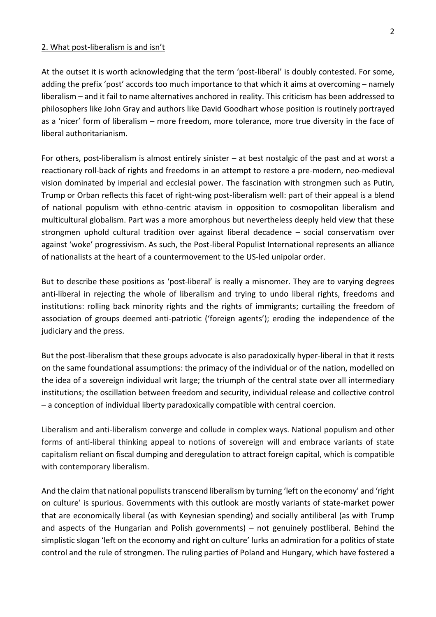#### 2. What post-liberalism is and isn't

At the outset it is worth acknowledging that the term 'post-liberal' is doubly contested. For some, adding the prefix 'post' accords too much importance to that which it aims at overcoming – namely liberalism – and it fail to name alternatives anchored in reality. This criticism has been addressed to philosophers like John Gray and authors like David Goodhart whose position is routinely portrayed as a 'nicer' form of liberalism – more freedom, more tolerance, more true diversity in the face of liberal authoritarianism.

For others, post-liberalism is almost entirely sinister – at best nostalgic of the past and at worst a reactionary roll-back of rights and freedoms in an attempt to restore a pre-modern, neo-medieval vision dominated by imperial and ecclesial power. The fascination with strongmen such as Putin, Trump or Orban reflects this facet of right-wing post-liberalism well: part of their appeal is a blend of national populism with ethno-centric atavism in opposition to cosmopolitan liberalism and multicultural globalism. Part was a more amorphous but nevertheless deeply held view that these strongmen uphold cultural tradition over against liberal decadence – social conservatism over against 'woke' progressivism. As such, the Post-liberal Populist International represents an alliance of nationalists at the heart of a countermovement to the US-led unipolar order.

But to describe these positions as 'post-liberal' is really a misnomer. They are to varying degrees anti-liberal in rejecting the whole of liberalism and trying to undo liberal rights, freedoms and institutions: rolling back minority rights and the rights of immigrants; curtailing the freedom of association of groups deemed anti-patriotic ('foreign agents'); eroding the independence of the judiciary and the press.

But the post-liberalism that these groups advocate is also paradoxically hyper-liberal in that it rests on the same foundational assumptions: the primacy of the individual or of the nation, modelled on the idea of a sovereign individual writ large; the triumph of the central state over all intermediary institutions; the oscillation between freedom and security, individual release and collective control – a conception of individual liberty paradoxically compatible with central coercion.

Liberalism and anti-liberalism converge and collude in complex ways. National populism and other forms of anti-liberal thinking appeal to notions of sovereign will and embrace variants of state capitalism reliant on fiscal dumping and deregulation to attract foreign capital, which is compatible with contemporary liberalism.

And the claim that national populists transcend liberalism by turning 'left on the economy' and 'right on culture' is spurious. Governments with this outlook are mostly variants of state-market power that are economically liberal (as with Keynesian spending) and socially antiliberal (as with Trump and aspects of the Hungarian and Polish governments) – not genuinely postliberal. Behind the simplistic slogan 'left on the economy and right on culture' lurks an admiration for a politics of state control and the rule of strongmen. The ruling parties of Poland and Hungary, which have fostered a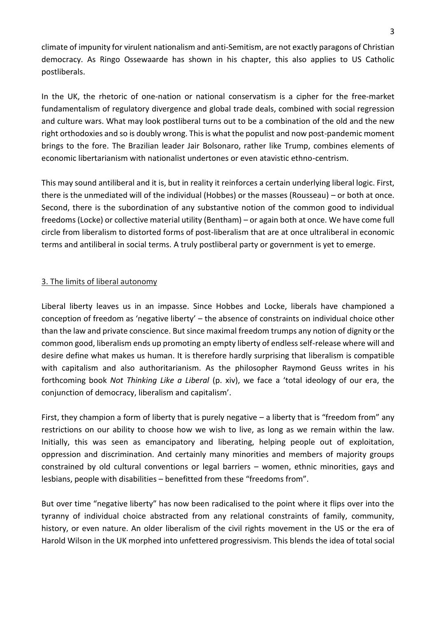climate of impunity for virulent nationalism and anti-Semitism, are not exactly paragons of Christian democracy. As Ringo Ossewaarde has shown in his chapter, this also applies to US Catholic postliberals.

In the UK, the rhetoric of one-nation or national conservatism is a cipher for the free-market fundamentalism of regulatory divergence and global trade deals, combined with social regression and culture wars. What may look postliberal turns out to be a combination of the old and the new right orthodoxies and so is doubly wrong. This is what the populist and now post-pandemic moment brings to the fore. The Brazilian leader Jair Bolsonaro, rather like Trump, combines elements of economic libertarianism with nationalist undertones or even atavistic ethno-centrism.

This may sound antiliberal and it is, but in reality it reinforces a certain underlying liberal logic. First, there is the unmediated will of the individual (Hobbes) or the masses (Rousseau) – or both at once. Second, there is the subordination of any substantive notion of the common good to individual freedoms (Locke) or collective material utility (Bentham) – or again both at once. We have come full circle from liberalism to distorted forms of post-liberalism that are at once ultraliberal in economic terms and antiliberal in social terms. A truly postliberal party or government is yet to emerge.

## 3. The limits of liberal autonomy

Liberal liberty leaves us in an impasse. Since Hobbes and Locke, liberals have championed a conception of freedom as 'negative liberty' – the absence of constraints on individual choice other than the law and private conscience. But since maximal freedom trumps any notion of dignity or the common good, liberalism ends up promoting an empty liberty of endless self-release where will and desire define what makes us human. It is therefore hardly surprising that liberalism is compatible with capitalism and also authoritarianism. As the philosopher Raymond Geuss writes in his forthcoming book *Not Thinking Like a Liberal* (p. xiv), we face a 'total ideology of our era, the conjunction of democracy, liberalism and capitalism'.

First, they champion a form of liberty that is purely negative – a liberty that is "freedom from" any restrictions on our ability to choose how we wish to live, as long as we remain within the law. Initially, this was seen as emancipatory and liberating, helping people out of exploitation, oppression and discrimination. And certainly many minorities and members of majority groups constrained by old cultural conventions or legal barriers – women, ethnic minorities, gays and lesbians, people with disabilities – benefitted from these "freedoms from".

But over time "negative liberty" has now been radicalised to the point where it flips over into the tyranny of individual choice abstracted from any relational constraints of family, community, history, or even nature. An older liberalism of the civil rights movement in the US or the era of Harold Wilson in the UK morphed into unfettered progressivism. This blends the idea of total social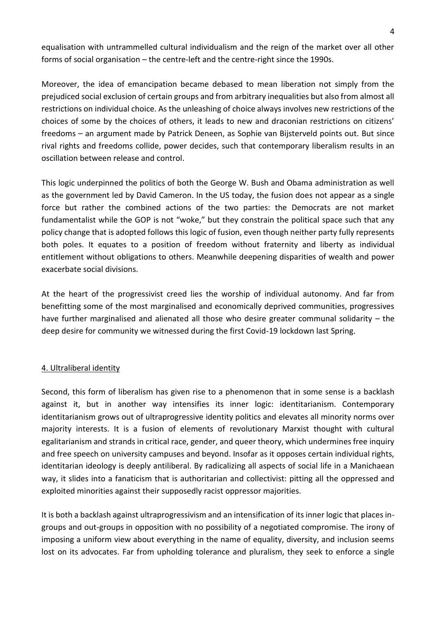equalisation with untrammelled cultural individualism and the reign of the market over all other forms of social organisation – the centre-left and the centre-right since the 1990s.

Moreover, the idea of emancipation became debased to mean liberation not simply from the prejudiced social exclusion of certain groups and from arbitrary inequalities but also from almost all restrictions on individual choice. As the unleashing of choice always involves new restrictions of the choices of some by the choices of others, it leads to new and draconian restrictions on citizens' freedoms – an argument made by Patrick Deneen, as Sophie van Bijsterveld points out. But since rival rights and freedoms collide, power decides, such that contemporary liberalism results in an oscillation between release and control.

This logic underpinned the politics of both the George W. Bush and Obama administration as well as the government led by David Cameron. In the US today, the fusion does not appear as a single force but rather the combined actions of the two parties: the Democrats are not market fundamentalist while the GOP is not "woke," but they constrain the political space such that any policy change that is adopted follows this logic of fusion, even though neither party fully represents both poles. It equates to a position of freedom without fraternity and liberty as individual entitlement without obligations to others. Meanwhile deepening disparities of wealth and power exacerbate social divisions.

At the heart of the progressivist creed lies the worship of individual autonomy. And far from benefitting some of the most marginalised and economically deprived communities, progressives have further marginalised and alienated all those who desire greater communal solidarity – the deep desire for community we witnessed during the first Covid-19 lockdown last Spring.

## 4. Ultraliberal identity

Second, this form of liberalism has given rise to a phenomenon that in some sense is a backlash against it, but in another way intensifies its inner logic: identitarianism. Contemporary identitarianism grows out of ultraprogressive identity politics and elevates all minority norms over majority interests. It is a fusion of elements of revolutionary Marxist thought with cultural egalitarianism and strands in critical race, gender, and queer theory, which undermines free inquiry and free speech on university campuses and beyond. Insofar as it opposes certain individual rights, identitarian ideology is deeply antiliberal. By radicalizing all aspects of social life in a Manichaean way, it slides into a fanaticism that is authoritarian and collectivist: pitting all the oppressed and exploited minorities against their supposedly racist oppressor majorities.

It is both a backlash against ultraprogressivism and an intensification of its inner logic that places ingroups and out-groups in opposition with no possibility of a negotiated compromise. The irony of imposing a uniform view about everything in the name of equality, diversity, and inclusion seems lost on its advocates. Far from upholding tolerance and pluralism, they seek to enforce a single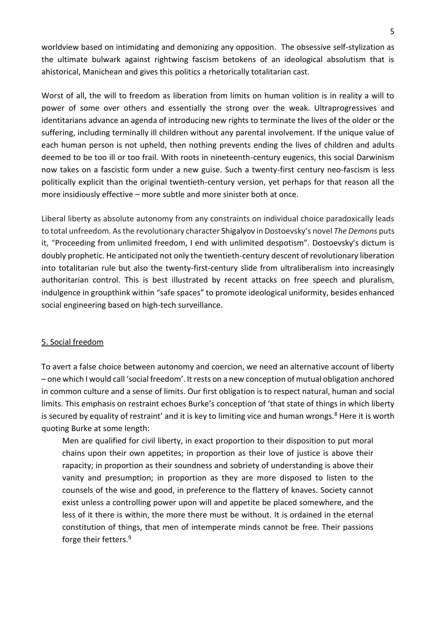worldview based on intimidating and demonizing any opposition. The obsessive self-stylization as the ultimate bulwark against rightwing fascism betokens of an ideological absolutism that is ahistorical, Manichean and gives this politics a rhetorically totalitarian cast.

Worst of all, the will to freedom as liberation from limits on human volition is in reality a will to power of some over others and essentially the strong over the weak. Ultraprogressives and identitarians advance an agenda of introducing new rights to terminate the lives of the older or the suffering, including terminally ill children without any parental involvement. If the unique value of each human person is not upheld, then nothing prevents ending the lives of children and adults deemed to be too ill or too frail. With roots in nineteenth-century eugenics, this social Darwinism now takes on a fascistic form under a new guise. Such a twenty-first century neo-fascism is less politically explicit than the original twentieth-century version, yet perhaps for that reason all the more insidiously effective – more subtle and more sinister both at once.

Liberal liberty as absolute autonomy from any constraints on individual choice paradoxically leads to total unfreedom. As the revolutionary character Shigalyov in Dostoevsky's novel *The Demons* puts it, "Proceeding from unlimited freedom, I end with unlimited despotism". Dostoevsky's dictum is doubly prophetic. He anticipated not only the twentieth-century descent of revolutionary liberation into totalitarian rule but also the twenty-first-century slide from ultraliberalism into increasingly authoritarian control. This is best illustrated by recent attacks on free speech and pluralism, indulgence in groupthink within "safe spaces" to promote ideological uniformity, besides enhanced social engineering based on high-tech surveillance.

### 5. Social freedom

To avert a false choice between autonomy and coercion, we need an alternative account of liberty – one which I would call 'social freedom'. It rests on a new conception of mutual obligation anchored in common culture and a sense of limits. Our first obligation is to respect natural, human and social limits. This emphasis on restraint echoes Burke's conception of 'that state of things in which liberty is secured by equality of restraint' and it is key to limiting vice and human wrongs.<sup>8</sup> Here it is worth quoting Burke at some length:

Men are qualified for civil liberty, in exact proportion to their disposition to put moral chains upon their own appetites; in proportion as their love of justice is above their rapacity; in proportion as their soundness and sobriety of understanding is above their vanity and presumption; in proportion as they are more disposed to listen to the counsels of the wise and good, in preference to the flattery of knaves. Society cannot exist unless a controlling power upon will and appetite be placed somewhere, and the less of it there is within, the more there must be without. It is ordained in the eternal constitution of things, that men of intemperate minds cannot be free. Their passions forge their fetters.9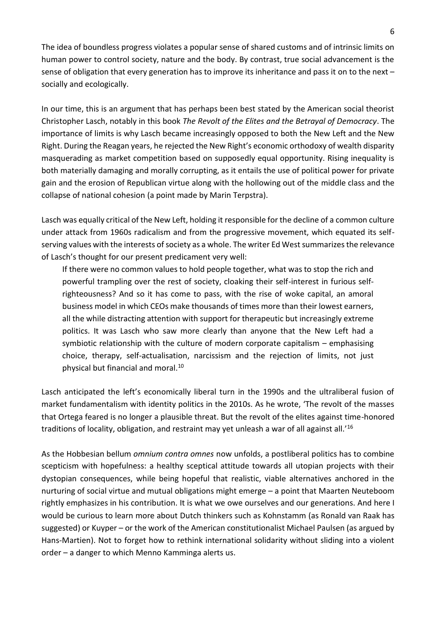The idea of boundless progress violates a popular sense of shared customs and of intrinsic limits on human power to control society, nature and the body. By contrast, true social advancement is the sense of obligation that every generation has to improve its inheritance and pass it on to the next – socially and ecologically.

In our time, this is an argument that has perhaps been best stated by the American social theorist Christopher Lasch, notably in this book *The Revolt of the Elites and the Betrayal of Democracy*. The importance of limits is why Lasch became increasingly opposed to both the New Left and the New Right. During the Reagan years, he rejected the New Right's economic orthodoxy of wealth disparity masquerading as market competition based on supposedly equal opportunity. Rising inequality is both materially damaging and morally corrupting, as it entails the use of political power for private gain and the erosion of Republican virtue along with the hollowing out of the middle class and the collapse of national cohesion (a point made by Marin Terpstra).

Lasch was equally critical of the New Left, holding it responsible for the decline of a common culture under attack from 1960s radicalism and from the progressive movement, which equated its selfserving values with the interests of society as a whole. The writer Ed West summarizes the relevance of Lasch's thought for our present predicament very well:

If there were no common values to hold people together, what was to stop the rich and powerful trampling over the rest of society, cloaking their self-interest in furious selfrighteousness? And so it has come to pass, with the rise of woke capital, an amoral business model in which CEOs make thousands of times more than their lowest earners, all the while distracting attention with support for therapeutic but increasingly extreme politics. It was Lasch who saw more clearly than anyone that the New Left had a symbiotic relationship with the culture of modern corporate capitalism – emphasising choice, therapy, self-actualisation, narcissism and the rejection of limits, not just physical but financial and moral. $^{10}$ 

Lasch anticipated the left's economically liberal turn in the 1990s and the ultraliberal fusion of market fundamentalism with identity politics in the 2010s. As he wrote, 'The revolt of the masses that Ortega feared is no longer a plausible threat. But the revolt of the elites against time-honored traditions of locality, obligation, and restraint may yet unleash a war of all against all.'<sup>16</sup>

As the Hobbesian bellum *omnium contra omnes* now unfolds, a postliberal politics has to combine scepticism with hopefulness: a healthy sceptical attitude towards all utopian projects with their dystopian consequences, while being hopeful that realistic, viable alternatives anchored in the nurturing of social virtue and mutual obligations might emerge – a point that Maarten Neuteboom rightly emphasizes in his contribution. It is what we owe ourselves and our generations. And here I would be curious to learn more about Dutch thinkers such as Kohnstamm (as Ronald van Raak has suggested) or Kuyper – or the work of the American constitutionalist Michael Paulsen (as argued by Hans-Martien). Not to forget how to rethink international solidarity without sliding into a violent order – a danger to which Menno Kamminga alerts us.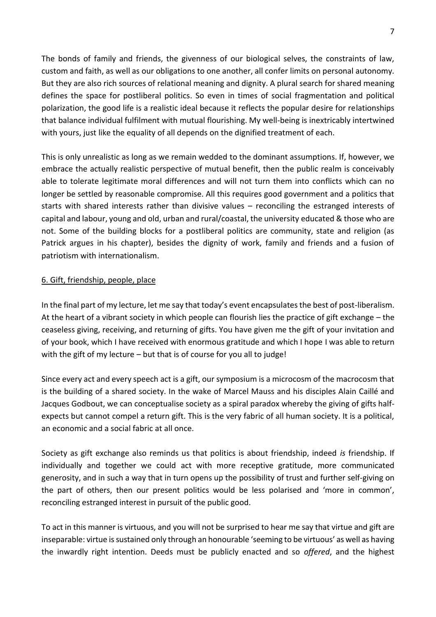The bonds of family and friends, the givenness of our biological selves, the constraints of law, custom and faith, as well as our obligations to one another, all confer limits on personal autonomy. But they are also rich sources of relational meaning and dignity. A plural search for shared meaning defines the space for postliberal politics. So even in times of social fragmentation and political polarization, the good life is a realistic ideal because it reflects the popular desire for relationships that balance individual fulfilment with mutual flourishing. My well-being is inextricably intertwined with yours, just like the equality of all depends on the dignified treatment of each.

This is only unrealistic as long as we remain wedded to the dominant assumptions. If, however, we embrace the actually realistic perspective of mutual benefit, then the public realm is conceivably able to tolerate legitimate moral differences and will not turn them into conflicts which can no longer be settled by reasonable compromise. All this requires good government and a politics that starts with shared interests rather than divisive values – reconciling the estranged interests of capital and labour, young and old, urban and rural/coastal, the university educated & those who are not. Some of the building blocks for a postliberal politics are community, state and religion (as Patrick argues in his chapter), besides the dignity of work, family and friends and a fusion of patriotism with internationalism.

## 6. Gift, friendship, people, place

In the final part of my lecture, let me say that today's event encapsulates the best of post-liberalism. At the heart of a vibrant society in which people can flourish lies the practice of gift exchange – the ceaseless giving, receiving, and returning of gifts. You have given me the gift of your invitation and of your book, which I have received with enormous gratitude and which I hope I was able to return with the gift of my lecture – but that is of course for you all to judge!

Since every act and every speech act is a gift, our symposium is a microcosm of the macrocosm that is the building of a shared society. In the wake of Marcel Mauss and his disciples Alain Caillé and Jacques Godbout, we can conceptualise society as a spiral paradox whereby the giving of gifts halfexpects but cannot compel a return gift. This is the very fabric of all human society. It is a political, an economic and a social fabric at all once.

Society as gift exchange also reminds us that politics is about friendship, indeed *is* friendship. If individually and together we could act with more receptive gratitude, more communicated generosity, and in such a way that in turn opens up the possibility of trust and further self-giving on the part of others, then our present politics would be less polarised and 'more in common', reconciling estranged interest in pursuit of the public good.

To act in this manner is virtuous, and you will not be surprised to hear me say that virtue and gift are inseparable: virtue is sustained only through an honourable 'seeming to be virtuous' as well as having the inwardly right intention. Deeds must be publicly enacted and so *offered*, and the highest